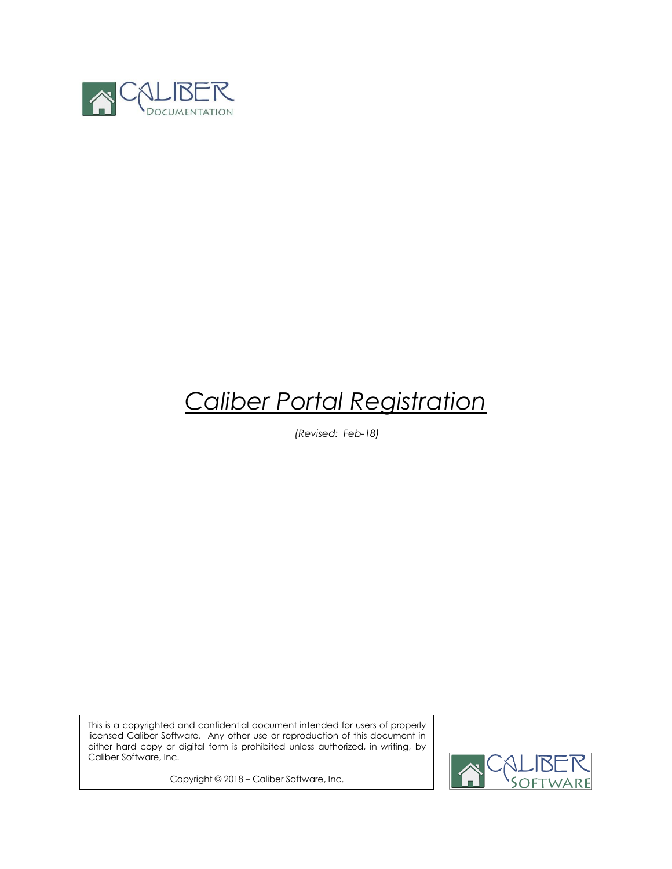

# *Caliber Portal Registration*

*(Revised: Feb-18)*

This is a copyrighted and confidential document intended for users of properly licensed Caliber Software. Any other use or reproduction of this document in either hard copy or digital form is prohibited unless authorized, in writing, by Caliber Software, Inc.

Copyright © 2018 – Caliber Software, Inc.

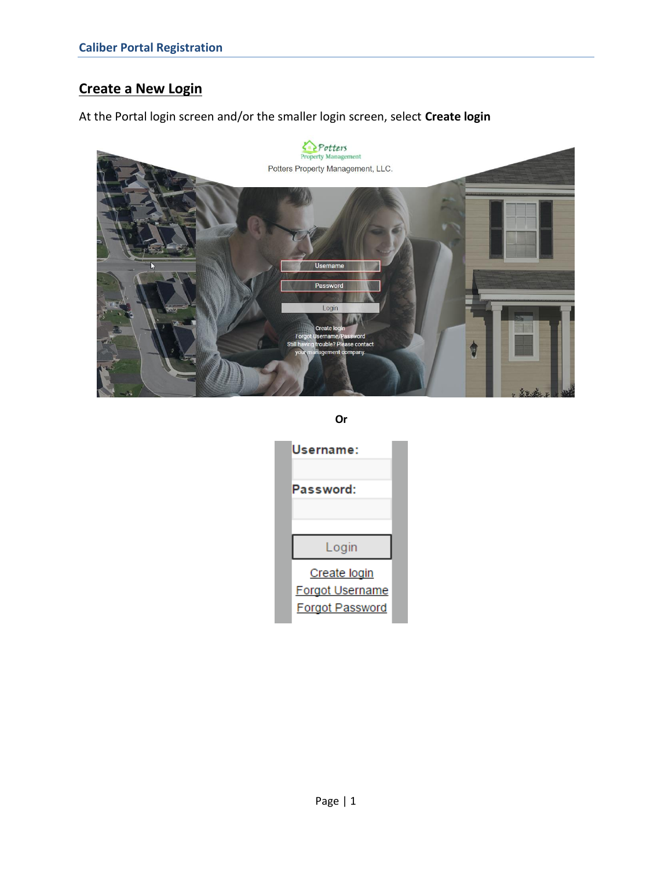# **Create a New Login**

At the Portal login screen and/or the smaller login screen, select **Create login**



**Or**

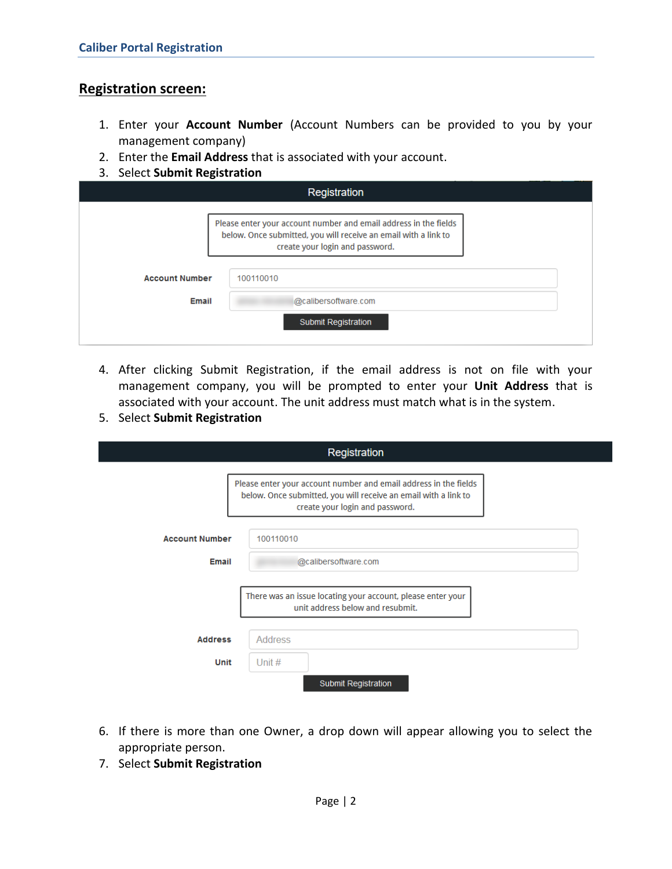### **Registration screen:**

- 1. Enter your **Account Number** (Account Numbers can be provided to you by your management company)
- 2. Enter the **Email Address** that is associated with your account.
- 3. Select **Submit Registration**

| Registration          |                                                                                                                                                                        |  |
|-----------------------|------------------------------------------------------------------------------------------------------------------------------------------------------------------------|--|
|                       | Please enter your account number and email address in the fields<br>below. Once submitted, you will receive an email with a link to<br>create your login and password. |  |
| <b>Account Number</b> | 100110010                                                                                                                                                              |  |
| Email                 | @calibersoftware.com                                                                                                                                                   |  |
|                       | <b>Submit Registration</b>                                                                                                                                             |  |

- 4. After clicking Submit Registration, if the email address is not on file with your management company, you will be prompted to enter your **Unit Address** that is associated with your account. The unit address must match what is in the system.
- 5. Select **Submit Registration**

|                                | Registration                                                                                                                                                           |
|--------------------------------|------------------------------------------------------------------------------------------------------------------------------------------------------------------------|
|                                | Please enter your account number and email address in the fields<br>below. Once submitted, you will receive an email with a link to<br>create your login and password. |
| <b>Account Number</b><br>Email | 100110010<br>@calibersoftware.com                                                                                                                                      |
|                                | There was an issue locating your account, please enter your<br>unit address below and resubmit.                                                                        |
| <b>Address</b>                 | <b>Address</b>                                                                                                                                                         |
| Unit                           | Unit $#$<br><b>Submit Registration</b>                                                                                                                                 |

- 6. If there is more than one Owner, a drop down will appear allowing you to select the appropriate person.
- 7. Select **Submit Registration**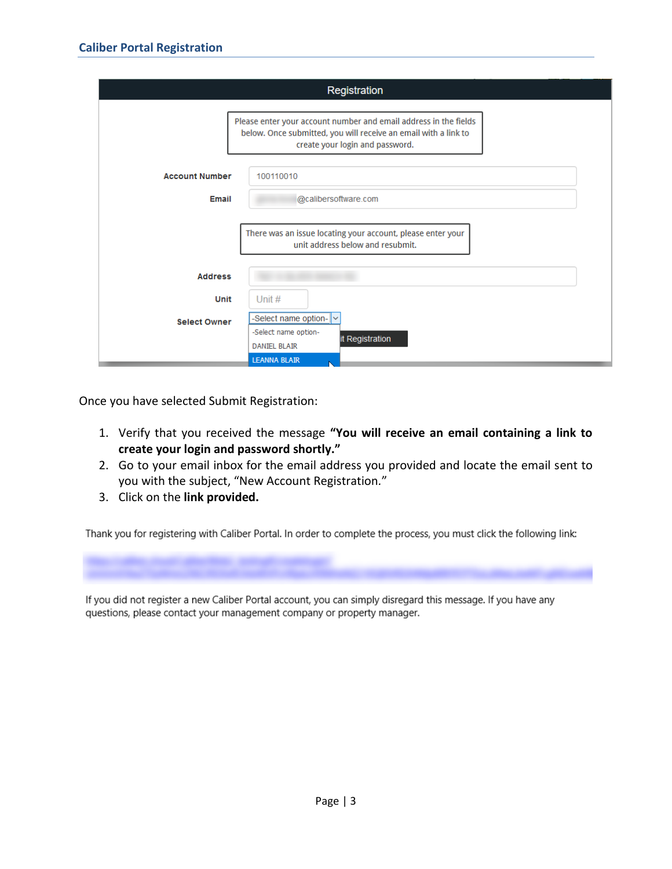|                       | Registration                                                                                                                                                           |
|-----------------------|------------------------------------------------------------------------------------------------------------------------------------------------------------------------|
|                       | Please enter your account number and email address in the fields<br>below. Once submitted, you will receive an email with a link to<br>create your login and password. |
| <b>Account Number</b> | 100110010                                                                                                                                                              |
| Email                 | @calibersoftware.com                                                                                                                                                   |
|                       | There was an issue locating your account, please enter your<br>unit address below and resubmit.                                                                        |
| <b>Address</b>        |                                                                                                                                                                        |
| Unit                  | Unit $#$                                                                                                                                                               |
| <b>Select Owner</b>   | -Select name option- $\ $ $\sim$<br>-Select name option-                                                                                                               |
|                       | it Registration<br><b>DANIEL BLAIR</b>                                                                                                                                 |
|                       | <b>LEANNA BLAIR</b>                                                                                                                                                    |

Once you have selected Submit Registration:

- 1. Verify that you received the message **"You will receive an email containing a link to create your login and password shortly."**
- 2. Go to your email inbox for the email address you provided and locate the email sent to you with the subject, "New Account Registration*.*"
- 3. Click on the **link provided.**

Thank you for registering with Caliber Portal. In order to complete the process, you must click the following link:

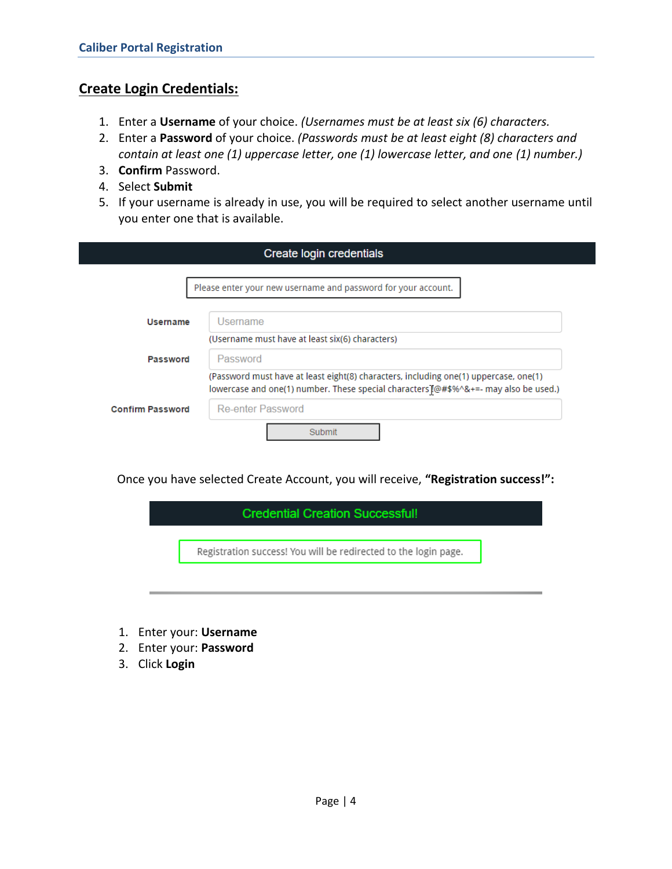## **Create Login Credentials:**

- 1. Enter a **Username** of your choice. *(Usernames must be at least six (6) characters.*
- 2. Enter a **Password** of your choice. *(Passwords must be at least eight (8) characters and contain at least one (1) uppercase letter, one (1) lowercase letter, and one (1) number.)*
- 3. **Confirm** Password.
- 4. Select **Submit**
- 5. If your username is already in use, you will be required to select another username until you enter one that is available.

| Create login credentials |                                                                                                                                                                              |
|--------------------------|------------------------------------------------------------------------------------------------------------------------------------------------------------------------------|
|                          | Please enter your new username and password for your account.                                                                                                                |
| Username                 | Username                                                                                                                                                                     |
| Password                 | (Username must have at least six(6) characters)<br>Password                                                                                                                  |
|                          | (Password must have at least eight(8) characters, including one(1) uppercase, one(1)<br>lowercase and one(1) number. These special characters [@#\$%^&+=- may also be used.) |
| <b>Confirm Password</b>  | Re-enter Password                                                                                                                                                            |
|                          | Submit                                                                                                                                                                       |

Once you have selected Create Account, you will receive, **"Registration success!":**

| Registration success! You will be redirected to the login page. |
|-----------------------------------------------------------------|
|                                                                 |

- 1. Enter your: **Username**
- 2. Enter your: **Password**
- 3. Click **Login**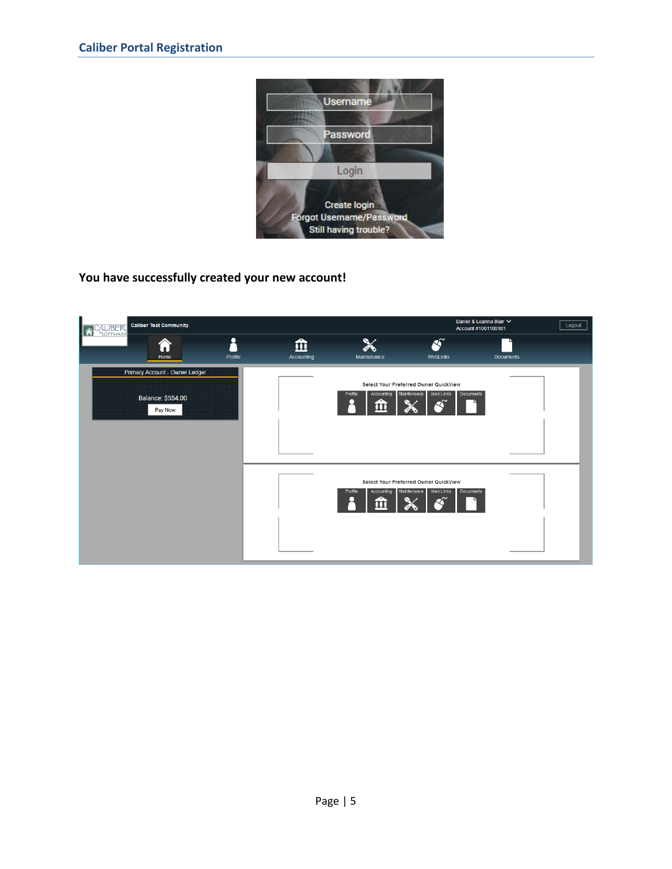

**You have successfully created your new account!** 

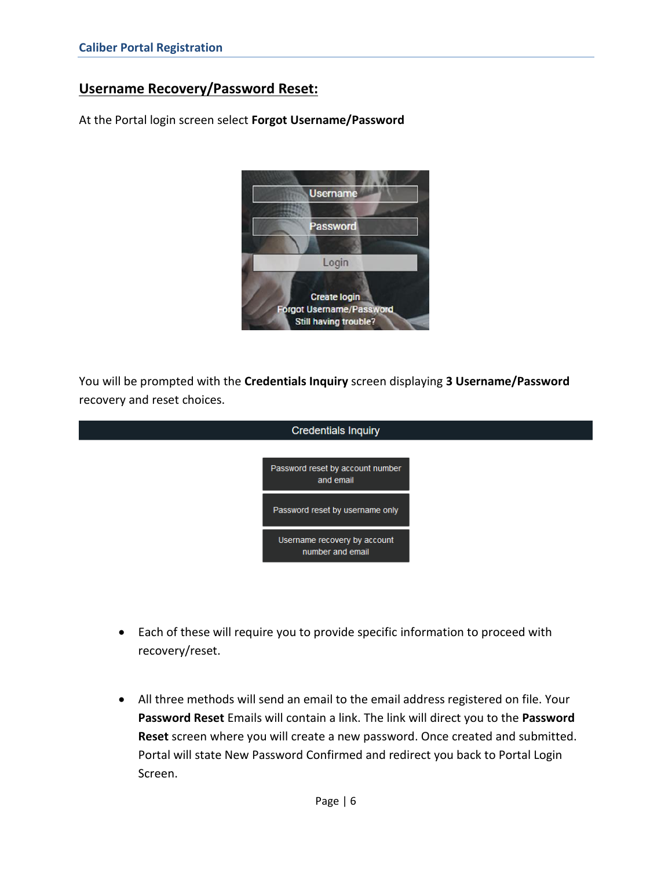## **Username Recovery/Password Reset:**

At the Portal login screen select **Forgot Username/Password**



You will be prompted with the **Credentials Inquiry** screen displaying **3 Username/Password** recovery and reset choices.

| <b>Credentials Inquiry</b>                       |  |
|--------------------------------------------------|--|
| Password reset by account number<br>and email    |  |
| Password reset by username only                  |  |
| Username recovery by account<br>number and email |  |
|                                                  |  |

- Each of these will require you to provide specific information to proceed with recovery/reset.
- All three methods will send an email to the email address registered on file. Your **Password Reset** Emails will contain a link. The link will direct you to the **Password Reset** screen where you will create a new password. Once created and submitted. Portal will state New Password Confirmed and redirect you back to Portal Login Screen.